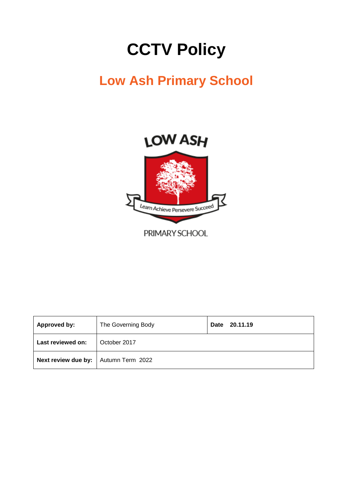# **CCTV Policy**

## **Low Ash Primary School**





PRIMARY SCHOOL

| <b>Approved by:</b>                    | The Governing Body | 20.11.19<br>Date |
|----------------------------------------|--------------------|------------------|
| Last reviewed on:                      | October 2017       |                  |
| Next review due by:   Autumn Term 2022 |                    |                  |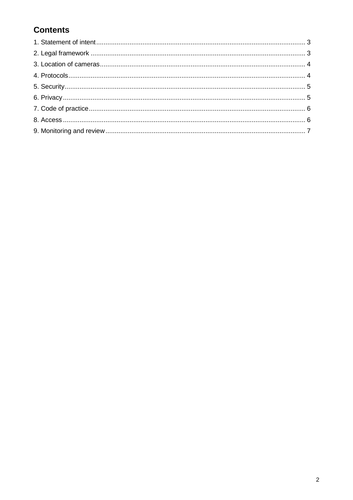### **Contents**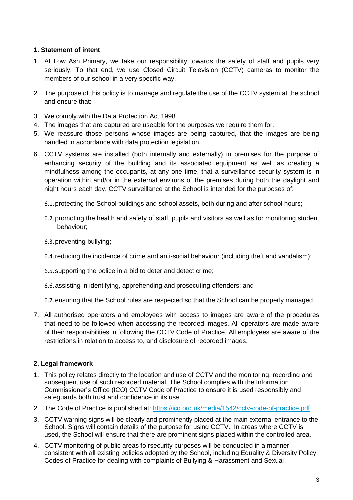#### **1. Statement of intent**

- 1. At Low Ash Primary, we take our responsibility towards the safety of staff and pupils very seriously. To that end, we use Closed Circuit Television (CCTV) cameras to monitor the members of our school in a very specific way.
- 2. The purpose of this policy is to manage and regulate the use of the CCTV system at the school and ensure that:
- 3. We comply with the Data Protection Act 1998.
- 4. The images that are captured are useable for the purposes we require them for.
- 5. We reassure those persons whose images are being captured, that the images are being handled in accordance with data protection legislation.
- 6. CCTV systems are installed (both internally and externally) in premises for the purpose of enhancing security of the building and its associated equipment as well as creating a mindfulness among the occupants, at any one time, that a surveillance security system is in operation within and/or in the external environs of the premises during both the daylight and night hours each day. CCTV surveillance at the School is intended for the purposes of:
	- 6.1.protecting the School buildings and school assets, both during and after school hours;
	- 6.2.promoting the health and safety of staff, pupils and visitors as well as for monitoring student behaviour;
	- 6.3.preventing bullying;
	- 6.4.reducing the incidence of crime and anti-social behaviour (including theft and vandalism);
	- 6.5.supporting the police in a bid to deter and detect crime;
	- 6.6.assisting in identifying, apprehending and prosecuting offenders; and

6.7.ensuring that the School rules are respected so that the School can be properly managed.

7. All authorised operators and employees with access to images are aware of the procedures that need to be followed when accessing the recorded images. All operators are made aware of their responsibilities in following the CCTV Code of Practice. All employees are aware of the restrictions in relation to access to, and disclosure of recorded images.

#### **2. Legal framework**

- 1. This policy relates directly to the location and use of CCTV and the monitoring, recording and subsequent use of such recorded material. The School complies with the Information Commissioner's Office (ICO) CCTV Code of Practice to ensure it is used responsibly and safeguards both trust and confidence in its use.
- 2. The Code of Practice is published at:<https://ico.org.uk/media/1542/cctv-code-of-practice.pdf>
- 3. CCTV warning signs will be clearly and prominently placed at the main external entrance to the School. Signs will contain details of the purpose for using CCTV. In areas where CCTV is used, the School will ensure that there are prominent signs placed within the controlled area.
- 4. CCTV monitoring of public areas fo rsecurity purposes will be conducted in a manner consistent with all existing policies adopted by the School, including Equality & Diversity Policy, Codes of Practice for dealing with complaints of Bullying & Harassment and Sexual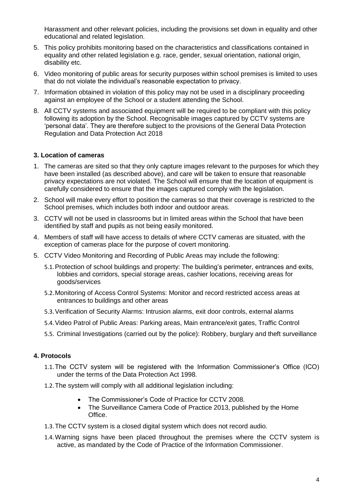Harassment and other relevant policies, including the provisions set down in equality and other educational and related legislation.

- 5. This policy prohibits monitoring based on the characteristics and classifications contained in equality and other related legislation e.g. race, gender, sexual orientation, national origin, disability etc.
- 6. Video monitoring of public areas for security purposes within school premises is limited to uses that do not violate the individual's reasonable expectation to privacy.
- 7. Information obtained in violation of this policy may not be used in a disciplinary proceeding against an employee of the School or a student attending the School.
- 8. All CCTV systems and associated equipment will be required to be compliant with this policy following its adoption by the School. Recognisable images captured by CCTV systems are 'personal data'. They are therefore subject to the provisions of the General Data Protection Regulation and Data Protection Act 2018

#### **3. Location of cameras**

- 1. The cameras are sited so that they only capture images relevant to the purposes for which they have been installed (as described above), and care will be taken to ensure that reasonable privacy expectations are not violated. The School will ensure that the location of equipment is carefully considered to ensure that the images captured comply with the legislation.
- 2. School will make every effort to position the cameras so that their coverage is restricted to the School premises, which includes both indoor and outdoor areas.
- 3. CCTV will not be used in classrooms but in limited areas within the School that have been identified by staff and pupils as not being easily monitored.
- 4. Members of staff will have access to details of where CCTV cameras are situated, with the exception of cameras place for the purpose of covert monitoring.
- 5. CCTV Video Monitoring and Recording of Public Areas may include the following:
	- 5.1.Protection of school buildings and property: The building's perimeter, entrances and exits, lobbies and corridors, special storage areas, cashier locations, receiving areas for goods/services
	- 5.2.Monitoring of Access Control Systems: Monitor and record restricted access areas at entrances to buildings and other areas
	- 5.3.Verification of Security Alarms: Intrusion alarms, exit door controls, external alarms
	- 5.4.Video Patrol of Public Areas: Parking areas, Main entrance/exit gates, Traffic Control
	- 5.5. Criminal Investigations (carried out by the police): Robbery, burglary and theft surveillance

#### **4. Protocols**

- 1.1.The CCTV system will be registered with the Information Commissioner's Office (ICO) under the terms of the Data Protection Act 1998.
- 1.2.The system will comply with all additional legislation including:
	- The Commissioner's Code of Practice for CCTV 2008.
	- The Surveillance Camera Code of Practice 2013, published by the Home Office.
- 1.3.The CCTV system is a closed digital system which does not record audio.
- 1.4.Warning signs have been placed throughout the premises where the CCTV system is active, as mandated by the Code of Practice of the Information Commissioner.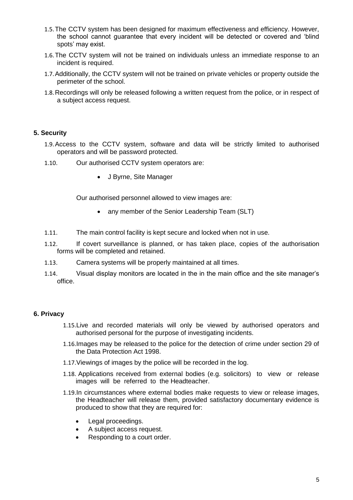- 1.5.The CCTV system has been designed for maximum effectiveness and efficiency. However, the school cannot guarantee that every incident will be detected or covered and 'blind spots' may exist.
- 1.6.The CCTV system will not be trained on individuals unless an immediate response to an incident is required.
- 1.7.Additionally, the CCTV system will not be trained on private vehicles or property outside the perimeter of the school.
- 1.8.Recordings will only be released following a written request from the police, or in respect of a subject access request.

#### **5. Security**

- 1.9.Access to the CCTV system, software and data will be strictly limited to authorised operators and will be password protected.
- 1.10. Our authorised CCTV system operators are:
	- J Byrne, Site Manager

Our authorised personnel allowed to view images are:

- any member of the Senior Leadership Team (SLT)
- 1.11. The main control facility is kept secure and locked when not in use.
- 1.12. If covert surveillance is planned, or has taken place, copies of the authorisation forms will be completed and retained.
- 1.13. Camera systems will be properly maintained at all times.
- 1.14. Visual display monitors are located in the in the main office and the site manager's office.

#### **6. Privacy**

- 1.15.Live and recorded materials will only be viewed by authorised operators and authorised personal for the purpose of investigating incidents.
- 1.16.Images may be released to the police for the detection of crime under section 29 of the Data Protection Act 1998.
- 1.17.Viewings of images by the police will be recorded in the log.
- 1.18. Applications received from external bodies (e.g. solicitors) to view or release images will be referred to the Headteacher.
- 1.19.In circumstances where external bodies make requests to view or release images, the Headteacher will release them, provided satisfactory documentary evidence is produced to show that they are required for:
	- Legal proceedings.
	- A subject access request.
	- Responding to a court order.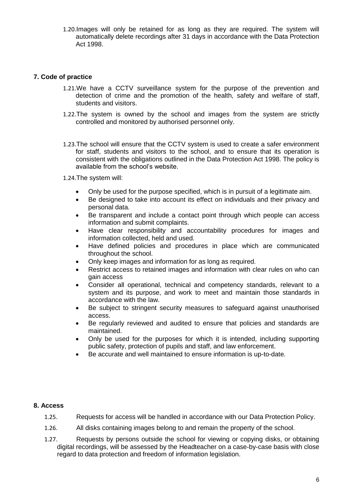1.20.Images will only be retained for as long as they are required. The system will automatically delete recordings after 31 days in accordance with the Data Protection Act 1998.

#### **7. Code of practice**

- 1.21.We have a CCTV surveillance system for the purpose of the prevention and detection of crime and the promotion of the health, safety and welfare of staff, students and visitors.
- 1.22.The system is owned by the school and images from the system are strictly controlled and monitored by authorised personnel only.
- 1.23.The school will ensure that the CCTV system is used to create a safer environment for staff, students and visitors to the school, and to ensure that its operation is consistent with the obligations outlined in the Data Protection Act 1998. The policy is available from the school's website.
- 1.24.The system will:
	- Only be used for the purpose specified, which is in pursuit of a legitimate aim.
	- Be designed to take into account its effect on individuals and their privacy and personal data.
	- Be transparent and include a contact point through which people can access information and submit complaints.
	- Have clear responsibility and accountability procedures for images and information collected, held and used.
	- Have defined policies and procedures in place which are communicated throughout the school.
	- Only keep images and information for as long as required.
	- Restrict access to retained images and information with clear rules on who can gain access
	- Consider all operational, technical and competency standards, relevant to a system and its purpose, and work to meet and maintain those standards in accordance with the law.
	- Be subject to stringent security measures to safeguard against unauthorised access.
	- Be regularly reviewed and audited to ensure that policies and standards are maintained.
	- Only be used for the purposes for which it is intended, including supporting public safety, protection of pupils and staff, and law enforcement.
	- Be accurate and well maintained to ensure information is up-to-date.

#### **8. Access**

- 1.25. Requests for access will be handled in accordance with our Data Protection Policy.
- 1.26. All disks containing images belong to and remain the property of the school.
- 1.27. Requests by persons outside the school for viewing or copying disks, or obtaining digital recordings, will be assessed by the Headteacher on a case-by-case basis with close regard to data protection and freedom of information legislation.